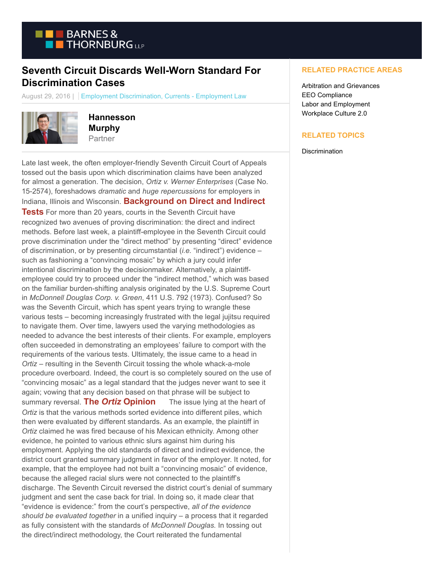

## **Seventh Circuit Discards Well-Worn Standard For Discrimination Cases**

August 29, 2016 | Employment Discrimination, Currents - Employment Law



**Hannesson Murphy** Partner

Late last week, the often employer-friendly Seventh Circuit Court of Appeals tossed out the basis upon which discrimination claims have been analyzed for almost a generation. The decision, *Ortiz v. Werner Enterprises* (Case No. 15-2574), foreshadows *dramatic* and *huge repercussions* for employers in Indiana, Illinois and Wisconsin. **Background on Direct and Indirect Tests** For more than 20 years, courts in the Seventh Circuit have recognized two avenues of proving discrimination: the direct and indirect methods. Before last week, a plaintiff-employee in the Seventh Circuit could prove discrimination under the "direct method" by presenting "direct" evidence of discrimination, or by presenting circumstantial (*i.e.* "indirect") evidence – such as fashioning a "convincing mosaic" by which a jury could infer intentional discrimination by the decisionmaker. Alternatively, a plaintiffemployee could try to proceed under the "indirect method," which was based on the familiar burden-shifting analysis originated by the U.S. Supreme Court in *McDonnell Douglas Corp. v. Green*, 411 U.S. 792 (1973). Confused? So was the Seventh Circuit, which has spent years trying to wrangle these various tests – becoming increasingly frustrated with the legal jujitsu required to navigate them. Over time, lawyers used the varying methodologies as needed to advance the best interests of their clients. For example, employers often succeeded in demonstrating an employees' failure to comport with the requirements of the various tests. Ultimately, the issue came to a head in *Ortiz* – resulting in the Seventh Circuit tossing the whole whack-a-mole procedure overboard. Indeed, the court is so completely soured on the use of "convincing mosaic" as a legal standard that the judges never want to see it again; vowing that any decision based on that phrase will be subject to summary reversal. **The** *Ortiz* **Opinion** The issue lying at the heart of *Ortiz* is that the various methods sorted evidence into different piles, which then were evaluated by different standards. As an example, the plaintiff in *Ortiz* claimed he was fired because of his Mexican ethnicity. Among other evidence, he pointed to various ethnic slurs against him during his employment. Applying the old standards of direct and indirect evidence, the district court granted summary judgment in favor of the employer. It noted, for example, that the employee had not built a "convincing mosaic" of evidence, because the alleged racial slurs were not connected to the plaintiff's discharge. The Seventh Circuit reversed the district court's denial of summary judgment and sent the case back for trial. In doing so, it made clear that "evidence is evidence:" from the court's perspective, *all of the evidence should be evaluated together* in a unified inquiry – a process that it regarded as fully consistent with the standards of *McDonnell Douglas.* In tossing out the direct/indirect methodology, the Court reiterated the fundamental

## **RELATED PRACTICE AREAS**

Arbitration and Grievances EEO Compliance Labor and Employment Workplace Culture 2.0

## **RELATED TOPICS**

**Discrimination**